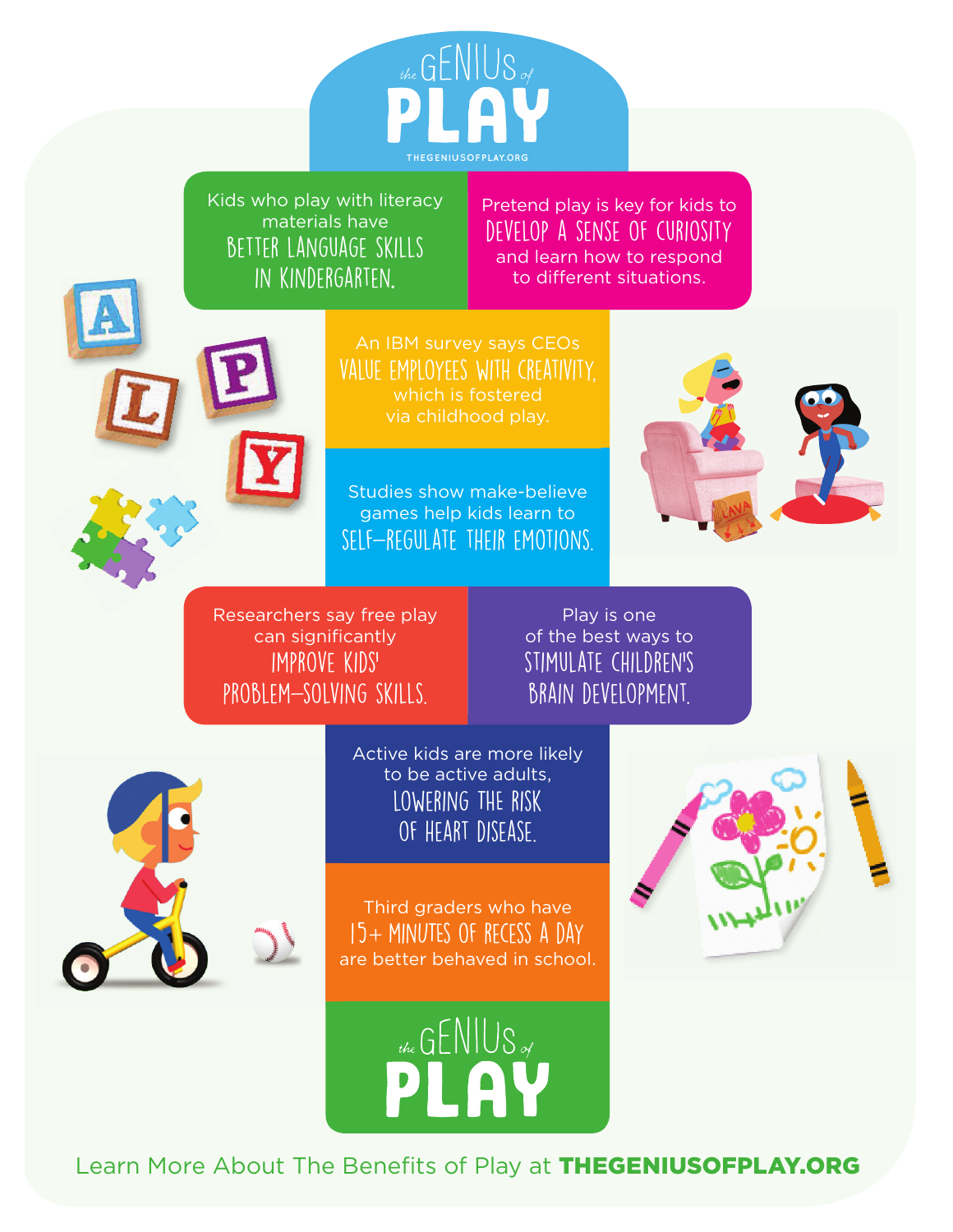

Kids who play with literacy materials have better language skills in kindergarten.

Pretend play is key for kids to develop a sense of curiosity and learn how to respond to different situations.

value employees with creativity, which is fostered

Studies show make-believe games help kids learn to self-regulate their emotions.



Researchers say free play can significantly improve kids' problem-solving skills.

Play is one of the best ways to stimulate children's brain development.



Active kids are more likely to be active adults, lowering THE risk of heart disease.

Third graders who have  $15 +$  MINUTES OF RECESS A DAY are better behaved in school.





Learn More About The Benefits of Play at THEGENIUSOFPLAY.ORG